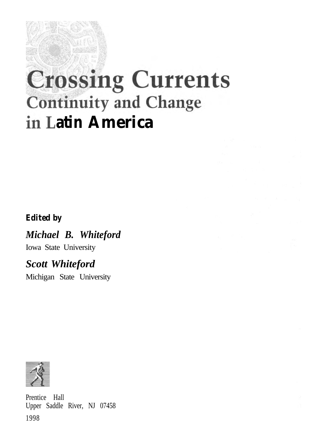# **Crossing Currents Continuity and Change in Latin America**

## *Edited by*

*Michael B. Whiteford*

Iowa State University

## *Scott Whiteford*

Michigan State University



Prentice Hall Upper Saddle River, NJ 07458 1998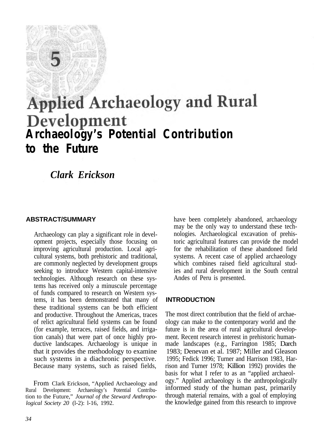# **Applied Archaeology and Rural Archaeology's Potential Contribution to the Future**

*Clark Erickson*

#### **ABSTRACT/SUMMARY**

Archaeology can play a significant role in development projects, especially those focusing on improving agricultural production. Local agricultural systems, both prehistoric and traditional, are commonly neglected by development groups seeking to introduce Western capital-intensive technologies. Although research on these systems has received only a minuscule percentage of funds compared to research on Western systems, it has been demonstrated that many of these traditional systems can be both efficient and productive. Throughout the Americas, traces of relict agricultural field systems can be found (for example, terraces, raised fields, and irrigation canals) that were part of once highly productive landscapes. Archaeology is unique in that it provides the methodology to examine such systems in a diachronic perspective. Because many systems, such as raised fields,

From Clark Erickson, "Applied Archaeology and Rural Development: Archaeology's Potential Contribution to the Future," *Journal of the Steward Anthropological Society 20* (l-2): l-16, 1992.

have been completely abandoned, archaeology may be the only way to understand these technologies. Archaeological excavation of prehistoric agricultural features can provide the model for the rehabilitation of these abandoned field systems. A recent case of applied archaeology which combines raised field agricultural studies and rural development in the South central Andes of Peru is presented.

### **INTRODUCTION**

The most direct contribution that the field of archaeology can make to the contemporary world and the future is in the area of rural agricultural development. Recent research interest in prehistoric humanmade landscapes (e.g., Farrington 1985; Darch 1983; Denevan et al. 1987; Miller and Gleason 1995; Fedick 1996; Turner and Harrison 1983, Harrison and Turner 1978; Killion 1992) provides the basis for what I refer to as an "applied archaeology." Applied archaeology is the anthropologically informed study of the human past, primarily through material remains, with a goal of employing the knowledge gained from this research to improve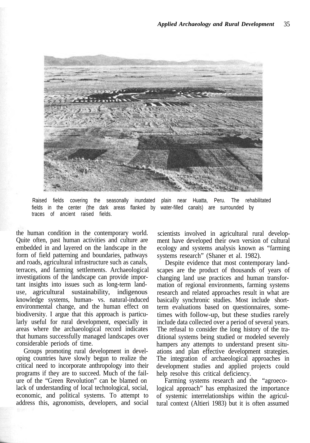

Raised fields covering the seasonally inundated plain near Huatta, Peru. The rehabilitated fields in the center (the dark areas flanked by water-filled canals) are surrounded by traces of ancient raised fields.

the human condition in the contemporary world. Quite often, past human activities and culture are embedded in and layered on the landscape in the form of field patterning and boundaries, pathways and roads, agricultural infrastructure such as canals, terraces, and farming settlements. Archaeological investigations of the landscape can provide important insights into issues such as long-term landuse, agricultural sustainability, indigenous knowledge systems, human- vs. natural-induced environmental change, and the human effect on biodiversity. I argue that this approach is particularly useful for rural development, especially in areas where the archaeological record indicates that humans successfully managed landscapes over considerable periods of time.

Groups promoting rural development in developing countries have slowly begun to realize the critical need to incorporate anthropology into their programs if they are to succeed. Much of the failure of the "Green Revolution" can be blamed on lack of understanding of local technological, social, economic, and political systems. To attempt to address this, agronomists, developers, and social

scientists involved in agricultural rural development have developed their own version of cultural ecology and systems analysis known as "farming systems research" (Shaner et al. 1982).

Despite evidence that most contemporary landscapes are the product of thousands of years of changing land use practices and human transformation of regional environments, farming systems research and related approaches result in what are basically synchronic studies. Most include shortterm evaluations based on questionnaires, sometimes with follow-up, but these studies rarely include data collected over a period of several years. The refusal to consider the long history of the traditional systems being studied or modeled severely hampers any attempts to understand present situations and plan effective development strategies. The integration of archaeological approaches in development studies and applied projects could help resolve this critical deficiency.

Farming systems research and the "agroecological approach" has emphasized the importance of systemic interrelationships within the agricultural context (Altieri 1983) but it is often assumed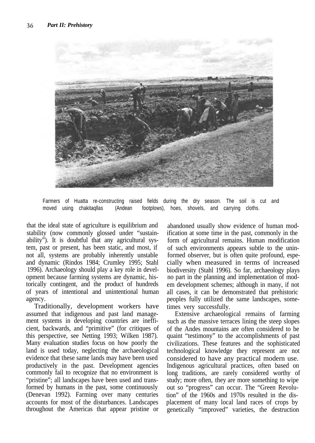

Farmers of Huatta re-constructing raised fields during the dry season. The soil is cut and moved using chakitaqllas (Andean footplows), hoes, shovels, and carrying cloths.

that the ideal state of agriculture is equilibrium and stability (now commonly glossed under "sustainability"). It is doubtful that any agricultural system, past or present, has been static, and most, if not all, systems are probably inherently unstable and dynamic (Rindos 1984; Crumley 1995; Stahl 1996). Archaeology should play a key role in development because farming systems are dynamic, historically contingent, and the product of hundreds of years of intentional and unintentional human agency.

Traditionally, development workers have assumed that indigenous and past land management systems in developing countries are inefficient, backwards, and "primitive" (for critiques of this perspective, see Netting 1993; Wilken 1987). Many evaluation studies focus on how poorly the land is used today, neglecting the archaeological evidence that these same lands may have been used productively in the past. Development agencies commonly fail to recognize that no environment is "pristine"; all landscapes have been used and transformed by humans in the past, some continuously (Denevan 1992). Farming over many centuries accounts for most of the disturbances. Landscapes throughout the Americas that appear pristine or

abandoned usually show evidence of human modification at some time in the past, commonly in the form of agricultural remains. Human modification of such environments appears subtle to the uninformed observer, but is often quite profound, especially when measured in terms of increased biodiversity (Stahl 1996). So far, archaeology plays no part in the planning and implementation of modem development schemes; although in many, if not all cases, it can be demonstrated that prehistoric peoples fully utilized the same landscapes, sometimes very successfully.

Extensive archaeological remains of farming such as the massive terraces lining the steep slopes of the Andes mountains are often considered to be quaint "testimony" to the accomplishments of past civilizations. These features and the sophisticated technological knowledge they represent are not considered to have any practical modern use. Indigenous agricultural practices, often based on long traditions, are rarely considered worthy of study; more often, they are more something to wipe out so "progress" can occur. The "Green Revolution" of the 1960s and 1970s resulted in the displacement of many local land races of crops by genetically "improved" varieties, the destruction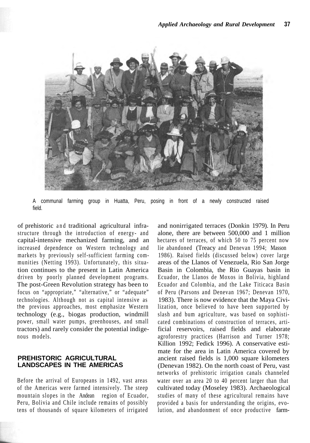

A communal farming group in Huatta, Peru, posing in front of a newly constructed raised field.

of prehistoric and traditional agricultural infrastructure through the introduction of energy- and capital-intensive mechanized farming, and an increased dependence on Western technology and markets by previously self-sufficient farming communities (Netting 1993). Unfortunately, this situation continues to the present in Latin America driven by poorly planned development programs. The post-Green Revolution strategy has been to focus on "appropriate," "alternative," or "adequate" technologies. Although not as capital intensive as the previous approaches, most emphasize Western technology (e.g., biogas production, windmill power, small water pumps, greenhouses, and small tractors) and rarely consider the potential indigenous models.

#### **PREHISTORIC AGRICULTURAL LANDSCAPES IN THE AMERICAS**

Before the arrival of Europeans in 1492, vast areas of the Americas were farmed intensively. The steep mountain slopes in the Andean region of Ecuador, Peru, Bolivia and Chile include remains of possibly tens of thousands of square kilometers of irrigated and nonirrigated terraces (Donkin 1979). In Peru alone, there are between 500,000 and 1 million hectares of terraces, of which 50 to 75 percent now lie abandoned (Treacy and Denevan 1994; Masson 1986). Raised fields (discussed below) cover large areas of the Llanos of Venezuela, Rio San Jorge Basin in Colombia, the Rio Guayas basin in Ecuador, the Llanos de Moxos in Bolivia, highland Ecuador and Colombia, and the Lake Titicaca Basin of Peru (Parsons and Denevan 1967; Denevan 1970, 1983). There is now evidence that the Maya Civilization, once believed to have been supported by slash and bum agriculture, was based on sophisticated combinations of construction of terraces, artificial reservoirs, raised fields and elaborate agroforestry practices (Harrison and Turner 1978; Killion 1992; Fedick 1996). A conservative estimate for the area in Latin America covered by ancient raised fields is 1,000 square kilometers (Denevan 1982). On the north coast of Peru, vast networks of prehistoric irrigation canals channeled water over an area 20 to 40 percent larger than that cultivated today (Moseley 1983). Archaeological studies of many of these agricultural remains have provided a basis for understanding the origins, evolution, and abandonment of once productive farm-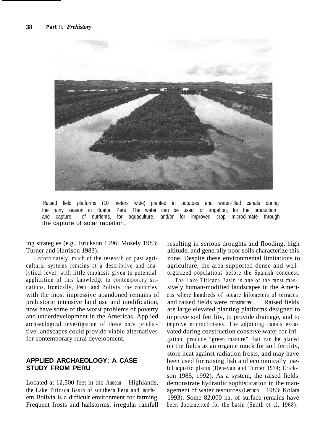

Raised field platforms (10 meters wide) planted in potatoes and water-filled canals during the rainy season in Huatta, Peru. The water can be used for irrigation, for the production and capture of nutrients, for aquaculture, and/or for improved crop microclimate through the capture of solar radiation.

ing strategies (e.g., Erickson 1996; Mosely 1983; Turner and Harrison 1983).

Unfortunately, much of the research on past agricultural systems remains at a descriptive and analytical level, with little emphasis given to potential application of this knowledge to contemporary situations. Ironically, Peru and Bolivia, the countries with the most impressive abandoned remains of prehistoric intensive land use and modification, now have some of the worst problems of poverty and underdevelopment in the Americas. Applied archaeological investigation of these once productive landscapes could provide viable alternatives for contemporary rural development.

#### **APPLIED ARCHAEOLOGY: A CASE STUDY FROM PERU**

Located at 12,500 feet in the Andean Highlands, the Lake Titicaca Basin of southern Peru and northem Bolivia is a difficult environment for farming. Frequent frosts and hailstorms, irregular rainfall

resulting in serious droughts and flooding, high altitude, and generally poor soils characterize this zone. Despite these environmental limitations to agriculture, the area supported dense and wellorganized populations before the Spanish conquest.

The Lake Titicaca Basin is one of the most massively human-modified landscapes in the Americas where hundreds of square kilometers of terraces and raised fields were constructed. Raised fields are large elevated planting platforms designed to improve soil fertility, to provide drainage, and to improve microclimates. The adjoining canals excavated during construction conserve water for irrigation, produce "green manure" that can be placed on the fields as an organic muck for soil fertility, store heat against radiation frosts, and may have been used for raising fish and economically useful aquatic plants (Denevan and Turner 1974; Erickson 1985, 1992). As a system, the raised fields demonstrate hydraulic sophistication in the management of water resources (Lennon 1983; Kolata 1993). Some 82,000 ha. of surface remains have been documented for the basin (Smith et al. 1968).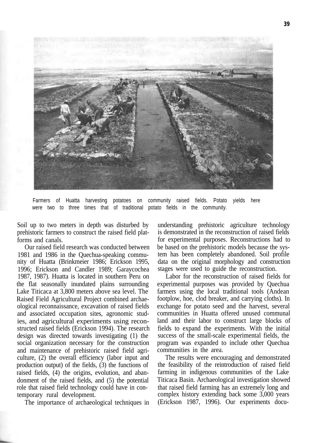

Farmers of Huatta harvesting potatoes on community raised fields. Potato yields here were two to three times that of traditional potato fields in the community.

Soil up to two meters in depth was disturbed by prehistoric farmers to construct the raised field platforms and canals.

Our raised field research was conducted between 1981 and 1986 in the Quechua-speaking community of Huatta (Brinkmeier 1986; Erickson 1995, 1996; Erickson and Candler 1989; Garaycochea 1987, 1987). Huatta is located in southern Peru on the flat seasonally inundated plains surrounding Lake Titicaca at 3,800 meters above sea level. The Raised Field Agricultural Project combined archaeological reconnaissance, excavation of raised fields and associated occupation sites, agronomic studies, and agricultural experiments using reconstructed raised fields (Erickson 1994). The research design was directed towards investigating (1) the social organization necessary for the construction and maintenance of prehistoric raised field agriculture, (2) the overall efficiency (labor input and production output) of the fields, (3) the functions of raised fields, (4) the origins, evolution, and abandonment of the raised fields, and (5) the potential role that raised field technology could have in contemporary rural development.

The importance of archaeological techniques in

understanding prehistoric agriculture technology is demonstrated in the reconstruction of raised fields for experimental purposes. Reconstructions had to be based on the prehistoric models because the system has been completely abandoned. Soil profile data on the original morphology and construction stages were used to guide the reconstruction.

Labor for the reconstruction of raised fields for experimental purposes was provided by Quechua farmers using the local traditional tools (Andean footplow, hoe, clod breaker, and carrying cloths). In exchange for potato seed and the harvest, several communities in Huatta offered unused communal land and their labor to construct large blocks of fields to expand the experiments. With the initial success of the small-scale experimental fields, the program was expanded to include other Quechua communities in the area.

The results were encouraging and demonstrated the feasibility of the reintroduction of raised field farming in indigenous communities of the Lake Titicaca Basin. Archaeological investigation showed that raised field farming has an extremely long and complex history extending back some 3,000 years (Erickson 1987, 1996). Our experiments docu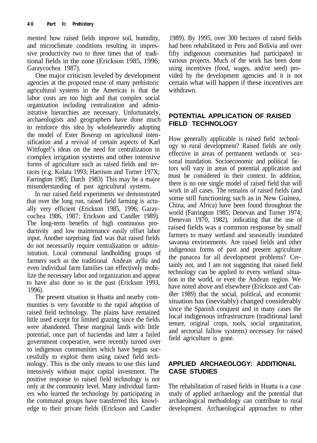mented how raised fields improve soil, humidity, 1989). By 1995, over 300 hectares of raised fields and microclimate conditions resulting in impres- had been rehabilitated in Peru and Bolivia and over sive productivity two to three times that of tradi- fifty indigenous communities had participated in tional fields in the zone (Erickson 1985, 1996; various projects. Much of the work has been done Garaycochea 1987). using incentives (food, wages, and/or seed) pro-

agencies at the proposed reuse of many prehistoric agricultural systems in the Americas is that the withdrawn. labor costs are too high and that complex social organization including centralization and administrative hierarchies are necessary. Unfortunately, archaeologists and geographers have done much **POTENTIAL APPLICATION OF RAISED** to reinforce this idea by wholeheartedly adopting the model of Ester Boserup on agricultural intensification and a revival of certain aspects of Karl How generally applicable is raised field technol-<br>Sification and a revival of certain aspects of Karl ogy to rural development? Raised fields are only Wittfogel's ideas on the need for centralization in effective in areas of permanent wetlands or sea-<br>complex irrigation systems and other intensive sonal inundation. Socioeconomic and political facforms of agriculture such as raised fields and terraces (e.g. Kolata 1993; Harrison and Turner 197X; tors will vary in areas of potential application and races (e.g. Kolata 1993; Harrison and Turner 197X; the considered in their context. In addition. Farrington 1985; Darch 1983) This may be a major must be considered in their context. In addition,

that over the long run, raised field farming is actu-<br>all the still functioning such as in New Guinea,<br> $\frac{1006}{2}$  for  $\frac{1006}{2}$  for  $\frac{1006}{2}$  for  $\frac{1006}{2}$  for  $\frac{1006}{2}$  for  $\frac{1006}{2}$  for  $\frac{1006}{2}$  for ally very efficient (Erickson 1985, 1996; Garay-<br>see allowed (Farrington 1985; Denevan and Turner 1974; cochea 1986, 1987; Erickson and Candler 1989). The long-term benefits of high continuous productivity and low maintenance easily offset labor<br>ductivity and low maintenance easily offset labor<br>input Anathon summising find was input farmers to many wetland and seasonally inundated input. Another surprising find was that raised fields farmers to many wetland and seasonally inundated factors farmers farmers are raised fields and other do not necessarily require centralization or admin-<br>indigenous forms of past and present agriculture<br>interview and other indigenous forms of past and present agriculture istration. Local communal landholding groups of indigenous forms of past and present agriculture<br>forms we are the traditional Andeer will and farmers such as the traditional Andean ayllu and<br>tainly not, and I am not suggesting that raised field even individual farm families can effectively mobi-<br>Line the presence of the set of exercise and engages the enhology can be applied to every wetland situalize the necessary labor and organization and appear technology can be applied to every wetland situa-<br>the harmonic situation is the state (Fighters 1992) the world, or even the Andean region. We to have also done so in the past (Erickson 1993,

The present situation in Huatta and nearby commulties is very favorable to the rapid adoption of situation has (inevitably) changed considerably numities is very favorable to the rapid adoption of since the Spanish conquest and in many cases the raised field technology. The plains have remained<br>little used argument for limited graping since the fields<br>local indigenous infrastructure (traditional land little used except for limited grazing since the fields were abandoned. These marginal lands with little tenure, original crops, tools, social organization, were abandoned. These marginal lands with little and sectorial fallow systems) necessary for raised potential, once part of haciendas and later a failed and sectorial fallow systems) necessary field agriculture is gone. government cooperative, were recently turned over to indigenous communities which have begun successfully to exploit them using raised field technology. This is the only means to use this land **APPLIED ARCHAEOLOGY: ADDITIONAL** intensively without major capital investment. The **CASE STUDIES** positive response to raised field technology is not only at the community level. Many individual farm- The rehabilitation of raised fields in Huatta is a case ers who learned the technology by participating in study of applied archaeology and the potential that the communal groups have transferred this knowl- archaeological methodology can contribute to rural edge to their private fields (Erickson and Candler development. Archaeological approaches to other

One major criticism leveled by development vided by the development agencies and it is not encies at the proposed reuse of many prehistoric certain what will happen if these incentives are

misunderstanding of past agricultural systems.<br>work in all cases. The remains of raised fields (and In our raised field experiments we demonstrated<br>t over the long given griend field farming is eaty.<br>Some still functioning such as in New Guinea, Denevan 1970, 1982), indicating that the use of the mate also done so in the past (Erickson 1999,<br>1996).<br>The present situation in Unatte and possibly som der 1989) that the social, political, and economic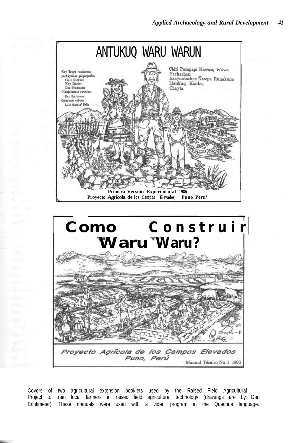

Covers of two agricultural extension booklets used by the Raised Field Agricultural Project to train local farmers in raised field agricultural technology (drawings are by Dan Brinkmeier). These manuals were used with a video program in the Quechua language.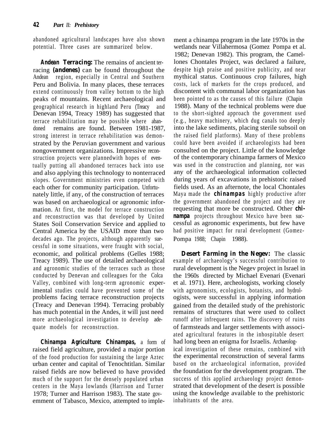abandoned agricultural landscapes have also shown ment a chinampa program in the late 1970s in the potential. Three cases are summarized below. wetlands near Villahermosa (Gomez Pompa et al.

racing **(andenes)** can be found throughout the despite high praise and positive publicity, and near<br>Andean region, especially in Central and Southern mythical status. Continuous crop failures, high Andean region, especially in Central and Southern Peru and Bolivia. In many places, these terraces costs, lack of markets for the crops produced, and extend continuously from valley bottom to the high discontent with communal labor organization has peaks of mountains. Recent archaeological and been pointed to as the causes of this failure (Chapin geographical research in highland Peru (Treacy and 1988). Many of the technical problems were due Denevan 1994, Treacy 1989) has suggested that to the short-sighted approach the government used terrace rehabilitation may be possible where aban- (e.g., heavy machinery, which dug canals too deeply doned remains are found. Between 1981-1987, into the lake sediments, placing sterile subsoil on strong interest in terrace rehabilitation was demon- the raised field platforms). Many of these problems strated by the Peruvian government and various could have been avoided if archaeologists had been nongovernment organizations. Impressive recon- consulted on the project. Little of the knowledge struction projects were plannedwith hopes of even- of the contemporary chinampa farmers of Mexico tually putting all abandoned terraces back into use was used in the construction and planning, nor was and also applying this technology to nonterraced any of the archaeological information collected slopes. Government ministries even competed with during years of excavations in prehistoric raised each other for community participation. Unfortu-<br>nately little, if any, of the construction of terraces Maya made the **chinampas** highly productive after nately little, if any, of the construction of terraces was based on archaeological or agronomic infor- the government abandoned the project and they are mation. At first, the model for terrace construction requesting that more be constructed. Other *chi*and reconstruction was that developed by United *nampa* projects throughout Mexico have been suc-States Soil Conservation Service and applied to cessful as agronomic experiments, but few have Central America by the USAID more than two had positive impact for rural development (Gomezdecades ago. The projects, although apparently sue- Pompa 1988; Chapin 1988). cessful in some situations, were fraught with social, economic, and political problems (Gelles 1988; *Desert Farming in the Negev:* The classic Treacy 1989). The use of detailed archaeological example of archaeology's successful contribution to and agronomic studies of the terraces such as those rural development is the Negev project in Israel in conducted by Denevan and colleagues for the Colca the 1960s directed by Michael Evenari (Evenari Valley, combined with long-term agronomic exper- et al. 1971). Here, archeologists, working closely imental studies could have prevented some of the with agronomists, ecologists, botanists, and hydrolproblems facing terrace reconstruction projects ogists, were successful in applying information (Treacy and Denevan 1994). Terracing probably gained from the detailed study of the prehistoric has much potential in the Andes, it will just need remains of structures that were used to collect more archaeological investigation to develop ade- runoff after infrequent rains. The discovery of ruins quate models for reconstruction.  $\qquad \qquad$  of farmsteads and larger settlements with associ-

*Chinampa Agriculture: Chinampas,* a form of had long been an enigma for Israelis. Archaeolograised field agriculture, provided a major portion ical investigation of these remains, combined with of the food production for sustaining the large Aztec the experimental reconstruction of several farms urban center and capital of Tenochtitlan. Similar based on the archaeological information, provided raised fields are now believed to have provided the foundation for the development program. The much of the support for the densely populated urban success of this applied archaeology project demoncenters in the Maya lowlands (Harrison and Turner strated that development of the desert is possible 1978; Turner and Harrison 1983). The state gov- using the knowledge available to the prehistoric emment of Tabasco, Mexico, attempted to imple- inhabitants of the area.

1982; Denevan 1982). This program, the Camel-**Andean Terracing:** The remains of ancient ter-<br>lones Chontales Project, was declared a failure,

ated agricultural features in the inhospitable desert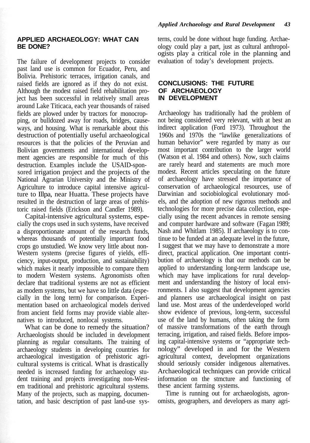#### **APPLIED ARCHAEOLOGY: WHAT CAN BE DONE?**

The failure of development projects to consider past land use is common for Ecuador, Peru, and Bolivia. Prehistoric terraces, irrigation canals, and raised fields are ignored as if they do not exist. Although the modest raised field rehabilitation project has been successful in relatively small areas around Lake Titicaca, each year thousands of raised fields are plowed under by tractors for monocropping, or bulldozed away for roads, bridges, causeways, and housing. What is remarkable about this destruction of potentially useful archaeological resources is that the policies of the Peruvian and Bolivian governments and international development agencies are responsible for much of this destruction. Examples include the USAID-sponsored irrigation project and the projects of the National Agrarian University and the Ministry of Agriculture to introduce capital intensive agriculture to Illpa, near Huatta. These projects have resulted in the destruction of large areas of prehistoric raised fields (Erickson and Candler 1989).

Capital-intensive agricultural systems, especially the crops used in such systems, have received a disproportionate amount of the research funds, whereas thousands of potentially important food crops go unstudied. We know very little about non-Western systems (precise figures of yields, efficiency, input-output, production, and sustainability) which makes it nearly impossible to compare them to modern Western systems. Agronomists often declare that traditional systems are not as efficient as modem systems, but we have so little data (especially in the long term) for comparison. Experimentation based on archaeological models derived from ancient field forms may provide viable alternatives to introduced, nonlocal systems.

What can be done to remedy the situation? Archaeologists should be included in development planning as regular consultants. The training of archaeology students in developing countries for archaeological investigation of prehistoric agricultural systems is critical. What is drastically needed is increased funding for archaeology student training and projects investigating non-Westem traditional and prehistoric agricultural systems. Many of the projects, such as mapping, documentation, and basic description of past land-use systerns, could be done without huge funding. Archaeology could play a part, just as cultural anthropologists play a critical role in the planning and evaluation of today's development projects.

#### **CONCLUSIONS: THE FUTURE OF ARCHAEOLOGY IN DEVELOPMENT**

Archaeology has traditionally had the problem of not being considered very relevant, with at best an indirect application (Ford 1973). Throughout the 1960s and 1970s the "lawlike generalizations of human behavior" were regarded by many as our most important contribution to the larger world (Watson et al. 1984 and others). Now, such claims are rarely heard and statements are much more modest. Recent articles speculating on the future of archaeology have stressed the importance of conservation of archaeological resources, use of Darwinian and sociobiological evolutionary models, and the adoption of new rigorous methods and technologies for more precise data collection, especially using the recent advances in remote sensing and computer hardware and software (Fagan 1989; Nash and Whitlam 1985). If archaeology is to continue to be funded at an adequate level in the future, I suggest that we may have to demonstrate a more direct, practical application. One important contribution of archaeology is that our methods can be applied to understanding long-term landscape use, which may have implications for rural development and understanding the history of local environments. I also suggest that development agencies and planners use archaeological insight on past land use. Most areas of the underdeveloped world show evidence of previous, long-term, successful use of the land by humans, often taking the form of massive transformations of the earth through terracing, irrigation, and raised fields. Before imposing capital-intensive systems or "appropriate technology" developed in and for the Western agricultural context, development organizations should seriously consider indigenous alternatives. Archaeological techniques can provide critical information on the stmcture and functioning of these ancient farming systems.

Time is running out for archaeologists, agronomists, geographers, and developers as many agri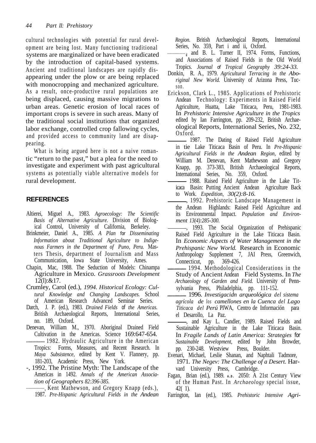cultural technologies with potential for rural development are being lost. Many functioning traditional systems are marginalized or have been eradicated by the introduction of capital-based systems. Ancient and traditional landscapes are rapidly disappearing under the plow or are being replaced with monocropping and mechanized agriculture. As a result, once-productive rural populations are being displaced, causing massive migrations to urban areas. Genetic erosion of local races of important crops is severe in such areas. Many of the traditional social institutions that organized labor exchange, controlled crop fallowing cycles, and provided access to community land are disappearing.

What is being argued here is not a naive romantic "return to the past," but a plea for the need to investigate and experiment with past agricultural systems as potentially viable alternative models for rural development.

### **REFERENCES**

- Altierei, Miguel A., 1983. *Agroecology: The Scientific Basis of Alternative Agriculture.* Division of Biological Control, University of California, Berkeley.
- Brinkmeier, Daniel A., 1985. *A Plan for Disseminating Information about Traditional Agriculture to Indigenous Farmers in the Department of Puno, Peru.* Masters Thesis, department of Journalism and Mass Communication, Iowa State University, Ames.
- Chapin, Mac, 1988. The Seduction of Models: Chinampa Agriculture in Mexico. *Grassroots Development* 12(l):&17.
- Crumley, Carol (ed.), *1994. Historical Ecology: Cultural Knowledge and Changing Landscapes.* School of American Research Advanced Seminar Series.
- Darch, J. P. (ed.), 1983. *Drained Fields of the Americas.* British Archaeological Reports, International Series, no. 189, Oxford.
- Denevan, William M., 1970. Aboriginal Drained Field Cultivation in the Americas. Science 169:647-654. 1982. Hydraulic Agriculture in the American
- Tropics: Forms, Measures, and Recent Research. In *Maya Subsistence,* edited by Kent V. Flannery, pp. 181-203, Academic Press, New York.
- -, 1992. The Pristine Myth: The Landscape of the Americas in 1492. *Annals of the American Association of Geographers 82:396-385.*
	- Kent Mathewson, and Gregory Knapp (eds.), 1987. *Pre-Hispanic Agricultural Fields in the Andean*

*Region.* British Archaeological Reports, International Series, No. 359, Part i and ii, Oxford.

- and B. L. Turner II, 1974. Forms, Functions, and Associations of Raised Fields in the Old World Tropics. *Journal of Tropical Geography 39:24-33.*
- Donkin, R. A., 1979. *Agricultural Terracing in the Aboriginal New World.* University of Arizona Press, Tucson.
- Erickson, Clark L., 1985. Applications of Prehistoric Andean Technology: Experiments in Raised Field Agriculture, Huatta, Lake Titicaca, Peru, 1981-1983. In *Prehistoric Intensive Agriculture in the Tropics* edited by Ian Farrington, pp. 209-232, British Archaeological Reports, International Series, No. 232, Oxford.
- 1987. The Dating of Raised Field Agriculture in tie Lake Titicaca Basin of Peru. In *Pre-Hispanic Agricultural Fields in the Andean Region,* edited by William M. Denevan, Kent Mathewson and Gregory Knapp, pp. 373-383, British Archaeological Reports, International Series, No. 359, Oxford.
- 1988. Raised Field Agriculture in the Lake Titicaca Basin: Putting Ancient Andean Agriculture Back to Work. *Expedition, 30(2):8-16.*
- , 1992. Prehistoric Landscape Management in the Andean Highlands: Raised Field Agriculture and its Environmental Impact. *Population and Environment 13(4):285-300.*
- , 1993. The Social Organization of Prehispanic Raised Field Agriculture in the Lake Titicaca Basin. In *Economic Aspects of Water Management in the Prehispanic New World.* Research in Economic Anthropology Supplement 7, JAI Press, Greenwich, Connecticut, pp. 369-426.
- 1994. Methodological Considerations in the Study of Ancient Andean Field Systems. In *The Archaeology of Garden and Field.* University of Pennsylvania Press, Philadelphia, pp. 111-152.
- 1996. *Investigacidn arqueológica del sistema agrícola de los camellones en la Cuenca del Lago Titicaca del Perú* PIWA, Centro de Información para el Desarollo, La Paz.
- , and Kay L. Candler, 1989. Raised Fields and Sustainable Agriculture in the Lake Titicaca Basin. In *Fragile Lands of Latin America: Strategies for Sustainable Development,* edited by John Browder, pp. 230-248. Westview Press, Boulder.
- Evenari, Michael, Leslie Shanan, and Naphtali Tadmore, 1971. *The Negev: The Challenge of a Desert.* Harvard University Press, Cambridge.
- Fagan, Brian (ed.), 1989. **<sup>A</sup>.D.** 2050: A 21st Century View of the Human Past. In *Archaeology* special issue, 42( 1).
- Farrington, Ian (ed.), 1985. *Prehistoric Intensive Agri-*